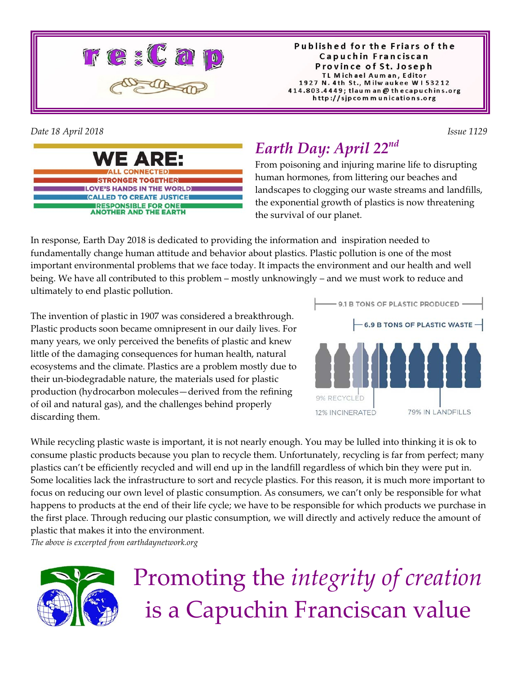

Published for the Friars of the Capuchin Franciscan Province of St. Joseph TL Michael Auman, Editor 1927 N. 4th St., Milwaukee W153212 414.803.4449; tlaum an @ thecapuchins.org http://sjpcommunications.org

*Date 18 April 2018 Issue 1129* 



# *Earth Day: April 22nd*

From poisoning and injuring marine life to disrupting human hormones, from littering our beaches and landscapes to clogging our waste streams and landfills, the exponential growth of plastics is now threatening the survival of our planet.

In response, Earth Day 2018 is dedicated to providing the information and inspiration needed to fundamentally change human attitude and behavior about plastics. Plastic pollution is one of the most important environmental problems that we face today. It impacts the environment and our health and well being. We have all contributed to this problem – mostly unknowingly – and we must work to reduce and ultimately to end plastic pollution.

The invention of plastic in 1907 was considered a breakthrough. Plastic products soon became omnipresent in our daily lives. For many years, we only perceived the benefits of plastic and knew little of the damaging consequences for human health, natural ecosystems and the climate. Plastics are a problem mostly due to their un-biodegradable nature, the materials used for plastic production (hydrocarbon molecules—derived from the refining of oil and natural gas), and the challenges behind properly discarding them.



While recycling plastic waste is important, it is not nearly enough. You may be lulled into thinking it is ok to consume plastic products because you plan to recycle them. Unfortunately, recycling is far from perfect; many plastics can't be efficiently recycled and will end up in the landfill regardless of which bin they were put in. Some localities lack the infrastructure to sort and recycle plastics. For this reason, it is much more important to focus on reducing our own level of plastic consumption. As consumers, we can't only be responsible for what happens to products at the end of their life cycle; we have to be responsible for which products we purchase in the first place. Through reducing our plastic consumption, we will directly and actively reduce the amount of plastic that makes it into the environment.

*The above is excerpted from earthdaynetwork.org* 



# Promoting the *integrity of creation* is a Capuchin Franciscan value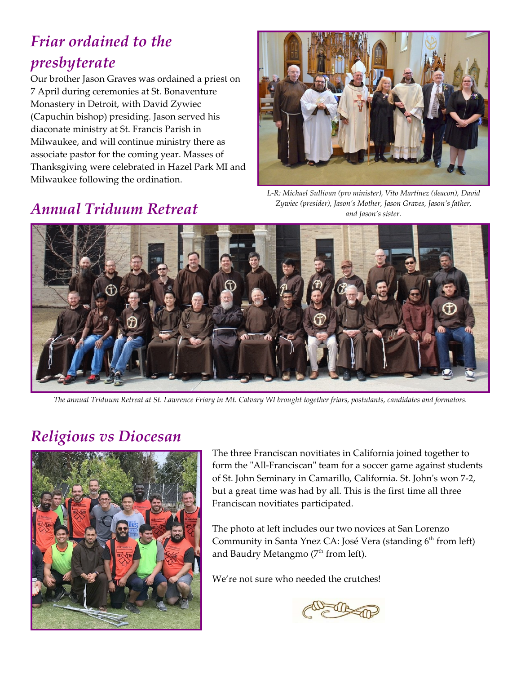# *Friar ordained to the presbyterate*

Our brother Jason Graves was ordained a priest on 7 April during ceremonies at St. Bonaventure Monastery in Detroit, with David Zywiec (Capuchin bishop) presiding. Jason served his diaconate ministry at St. Francis Parish in Milwaukee, and will continue ministry there as associate pastor for the coming year. Masses of Thanksgiving were celebrated in Hazel Park MI and Milwaukee following the ordination.



*L-R: Michael Sullivan (pro minister), Vito Martinez (deacon), David Zywiec (presider), Jason's Mother, Jason Graves, Jason's father, and Jason's sister.*

#### *Annual Triduum Retreat*



*The annual Triduum Retreat at St. Lawrence Friary in Mt. Calvary WI brought together friars, postulants, candidates and formators*.

#### *Religious vs Diocesan*



The three Franciscan novitiates in California joined together to form the "All-Franciscan" team for a soccer game against students of St. John Seminary in Camarillo, California. St. John's won 7-2, but a great time was had by all. This is the first time all three Franciscan novitiates participated.

The photo at left includes our two novices at San Lorenzo Community in Santa Ynez CA: José Vera (standing 6<sup>th</sup> from left) and Baudry Metangmo ( $7<sup>th</sup>$  from left).

We're not sure who needed the crutches!

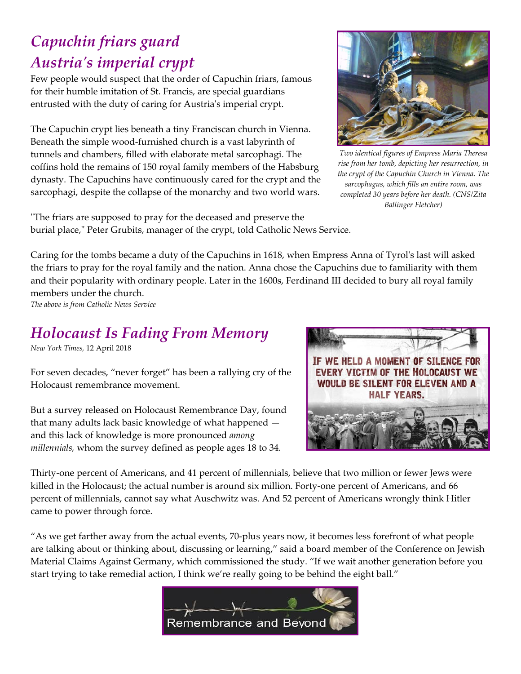### *Capuchin friars guard Austria's imperial crypt*

Few people would suspect that the order of Capuchin friars, famous for their humble imitation of St. Francis, are special guardians entrusted with the duty of caring for Austria's imperial crypt.

The Capuchin crypt lies beneath a tiny Franciscan church in Vienna. Beneath the simple wood-furnished church is a vast labyrinth of tunnels and chambers, filled with elaborate metal sarcophagi. The coffins hold the remains of 150 royal family members of the Habsburg dynasty. The Capuchins have continuously cared for the crypt and the sarcophagi, despite the collapse of the monarchy and two world wars.



*Two identical figures of Empress Maria Theresa rise from her tomb, depicting her resurrection, in the crypt of the Capuchin Church in Vienna. The sarcophagus, which fills an entire room, was completed 30 years before her death. (CNS/Zita Ballinger Fletcher)*

"The friars are supposed to pray for the deceased and preserve the burial place," Peter Grubits, manager of the crypt, told Catholic News Service.

Caring for the tombs became a duty of the Capuchins in 1618, when Empress Anna of Tyrol's last will asked the friars to pray for the royal family and the nation. Anna chose the Capuchins due to familiarity with them and their popularity with ordinary people. Later in the 1600s, Ferdinand III decided to bury all royal family members under the church.

*The above is from Catholic News Service*

#### *Holocaust Is Fading From Memory*

*New York Times,* 12 April 2018

For seven decades, "never forget" has been a rallying cry of the Holocaust remembrance movement.

But a survey released on Holocaust Remembrance Day, found that many adults lack basic knowledge of what happened and this lack of knowledge is more pronounced *among millennials,* whom the survey defined as people ages 18 to 34.



Thirty-one percent of Americans, and 41 percent of millennials, believe that two million or fewer Jews were killed in the Holocaust; the actual number is around six million. Forty-one percent of Americans, and 66 percent of millennials, cannot say what Auschwitz was. And 52 percent of Americans wrongly think Hitler came to power through force.

"As we get farther away from the actual events, 70-plus years now, it becomes less forefront of what people are talking about or thinking about, discussing or learning," said a board member of the Conference on Jewish Material Claims Against Germany, which commissioned the study. "If we wait another generation before you start trying to take remedial action, I think we're really going to be behind the eight ball."